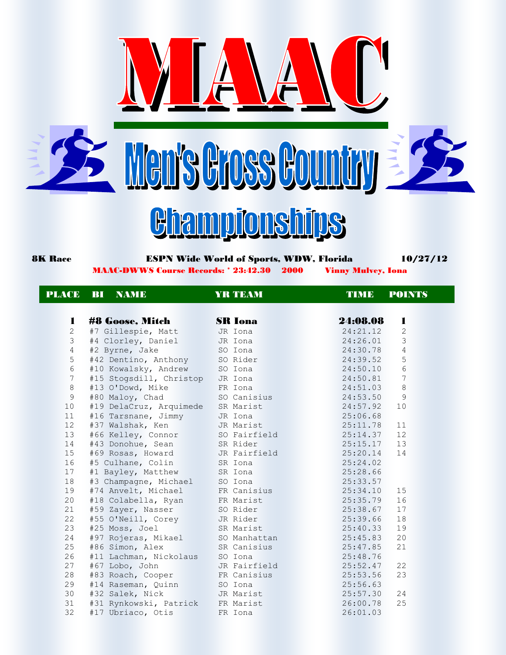







## 8K Race **ESPN Wide World of Sports, WDW, Florida** 10/27/12 MAAC-DWWS Course Records: \* 23:42.30 2000 Vinny Mulvey, Iona

PLACE BI NAME YRTEAM TIME POINTS

| 1              | <b>#8 Goose, Mitch</b>                                                  | <b>SR Iona</b>                 | 24:08.08<br>1              |
|----------------|-------------------------------------------------------------------------|--------------------------------|----------------------------|
| $\overline{c}$ | #7 Gillespie, Matt JR Iona                                              |                                | 24:21.12<br>$\overline{c}$ |
| 3              | #4 Clorley, Daniel JR Iona                                              |                                | $\mathsf 3$<br>24:26.01    |
| $\overline{4}$ | #2 Byrne, Jake                                                          | SO Iona                        | 4<br>24:30.78              |
| 5              | #42 Dentino, Anthony SO Rider                                           |                                | 5<br>24:39.52              |
| $\sqrt{6}$     | #10 Kowalsky, Andrew SO Iona                                            |                                | $6\,$<br>24:50.10          |
| 7              | #15 Stogsdill, Christop JR Iona                                         |                                | 7<br>24:50.81              |
| $\,8\,$        | #13 O'Dowd, Mike FR Iona                                                |                                | 8<br>24:51.03              |
| 9              | #80 Maloy, Chad SO Canisius                                             |                                | 9<br>24:53.50              |
| 10             | #19 DelaCruz, Arquimede SR Marist                                       |                                | 10<br>24:57.92             |
| 11             | #16 Tarsnane, Jimmy       JR Iona<br>#37 Walshak, Ken         JR Marist |                                | 25:06.68                   |
| 12             |                                                                         |                                | 11<br>25:11.78             |
| 13             | #66 Kelley, Connor SO Fairfield                                         |                                | 25:14.37<br>12             |
| 14             | #43 Donohue, Sean SR Rider                                              |                                | $25:15.17$ 13              |
| 15             | #69 Rosas, Howard JR Fairfield                                          |                                | 25:20.14<br>14             |
| 16             | #5 Culhane, Colin SR Iona                                               |                                | 25:24.02                   |
| 17             | #1 Bayley, Matthew SR Iona                                              |                                | 25:28.66                   |
| 18             | #3 Champagne, Michael SO Iona                                           |                                | 25:33.57                   |
| 19             | #74 Anvelt, Michael FR Canisius                                         |                                | 25:34.10<br>15             |
| 20             | #18 Colabella, Ryan FR Marist                                           |                                | 16<br>25:35.79             |
| 21             | #59 Zayer, Nasser SO Rider                                              |                                | 25:38.67<br>17             |
| 22             | #55 O'Neill, Corey JR Rider                                             |                                | 18<br>25:39.66             |
| 23             | #25 Moss, Joel                                                          | SR Marist                      | 19<br>25:40.33             |
| 24             | #97 Rojeras, Mikael SO Manhattan                                        |                                | 20<br>25:45.83             |
| 25             | #86 Simon, Alex                                                         | SR Canisius                    | 21<br>25:47.85             |
| 26             | #11 Lachman, Nickolaus SO Iona                                          |                                | 25:48.76                   |
| 27             | #67 Lobo, John                                                          | <b>Example 18 JR Fairfield</b> | 22<br>25:52.47             |
| 28             | #83 Roach, Cooper FR Canisius                                           |                                | 23<br>25:53.56             |
| 29             | #14 Raseman, Quinn SO Iona                                              |                                | 25:56.63                   |
| 30             | #32 Salek, Nick JR Marist                                               |                                | 25:57.30<br>24             |
| 31             | #31 Rynkowski, Patrick FR Marist                                        |                                | 25<br>26:00.78             |
| 32             | #17 Ubriaco, Otis                                                       | <b>Expanding FR</b> Iona       | 26:01.03                   |
|                |                                                                         |                                |                            |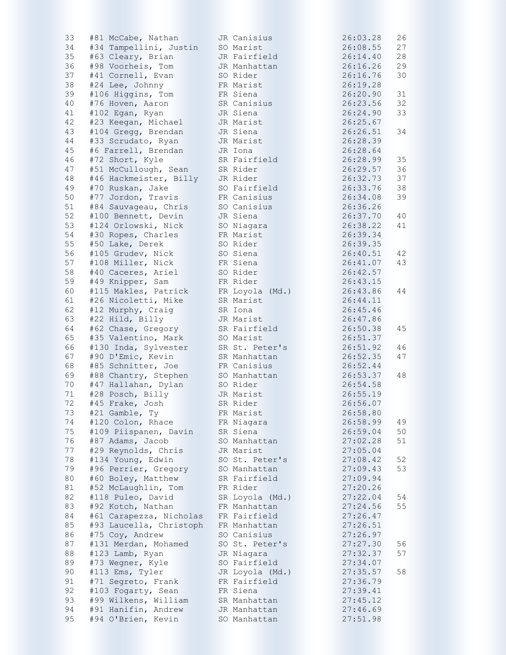| 33     | #81 McCabe, Nathan      | JR Canisius     | 26:03.28 | 26 |
|--------|-------------------------|-----------------|----------|----|
| 34     | #34 Tampellini, Justin  | SO Marist       | 26:08.55 | 27 |
| 35     | #63 Cleary, Brian       | JR Fairfield    | 26:14.40 | 28 |
| 36     | #98 Voorheis, Tom       | JR Manhattan    | 26:16.26 | 29 |
| 37     | #41 Cornell, Evan       | SO Rider        | 26:16.76 | 30 |
| 38     | #24 Lee, Johnny         | FR Marist       | 26:19.28 |    |
| 39     | #106 Higgins, Tom       | FR Siena        | 26:20.90 | 31 |
| 40     |                         |                 | 26:23.56 | 32 |
|        | #76 Hoven, Aaron        | SR Canisius     |          |    |
| 41     | #102 Egan, Ryan         | JR Siena        | 26:24.90 | 33 |
| 42     | #23 Keegan, Michael     | JR Marist       | 26:25.67 |    |
| 43     | #104 Gregg, Brendan     | JR Siena        | 26:26.51 | 34 |
| 44     | #33 Scrudato, Ryan      | JR Marist       | 26:28.39 |    |
| 45     | #6 Farrell, Brendan     | JR Iona         | 26:28.64 |    |
| 46     | #72 Short, Kyle         | SR Fairfield    | 26:28.99 | 35 |
| 47     | #51 McCullough, Sean    | SR Rider        | 26:29.57 | 36 |
| $4\,8$ | #46 Hackmeister, Billy  | JR Rider        | 26:32.73 | 37 |
| 49     | #70 Ruskan, Jake        | SO Fairfield    | 26:33.76 | 38 |
| 50     | #77 Jordon, Travis      | FR Canisius     | 26:34.08 | 39 |
|        |                         |                 |          |    |
| 51     | #84 Sauvageau, Chris    | SO Canisius     | 26:36.26 |    |
| 52     | #100 Bennett, Devin     | JR Siena        | 26:37.70 | 40 |
| 53     | #124 Orlowski, Nick     | SO Niagara      | 26:38.22 | 41 |
| 54     | #30 Ropes, Charles      | FR Marist       | 26:39.34 |    |
| 55     | #50 Lake, Derek         | SO Rider        | 26:39.35 |    |
| 56     | #105 Grudev, Nick       | SO Siena        | 26:40.51 | 42 |
| 57     | #108 Miller, Nick       | FR Siena        | 26:41.07 | 43 |
| 58     | #40 Caceres, Ariel      | SO Rider        | 26:42.57 |    |
| 59     | #49 Knipper, Sam        | FR Rider        | 26:43.15 |    |
| 60     | #115 Makles, Patrick    | FR Loyola (Md.) | 26:43.86 | 44 |
| 61     | #26 Nicoletti, Mike     | SR Marist       | 26:44.11 |    |
|        |                         |                 |          |    |
| 62     | #12 Murphy, Craig       | SR Iona         | 26:45.46 |    |
| 63     | #22 Hild, Billy         | JR Marist       | 26:47.86 |    |
| 64     | #62 Chase, Gregory      | SR Fairfield    | 26:50.38 | 45 |
| 65     | #35 Valentino, Mark     | SO Marist       | 26:51.37 |    |
| 66     | #130 Inda, Sylvester    | SR St. Peter's  | 26:51.92 | 46 |
| 67     | #90 D'Emic, Kevin       | SR Manhattan    | 26:52.35 | 47 |
| 68     | #85 Schnitter, Joe      | FR Canisius     | 26:52.44 |    |
| 69     | #88 Chantry, Stephen    | SO Manhattan    | 26:53.37 | 48 |
| 70     | #47 Hallahan, Dylan     | SO Rider        | 26:54.58 |    |
| 71     | #28 Posch, Billy        | JR Marist       | 26:55.19 |    |
| 72     | #45 Frake, Josh         | SR Rider        | 26:56.07 |    |
| 73     | #21 Gamble, Ty          | FR Marist       | 26:58.80 |    |
| 74     | #120 Colon, Rhace       | FR Niagara      | 26:58.99 | 49 |
| 75     | #109 Piispanen, Davin   |                 |          |    |
|        |                         | SR Siena        | 26:59.04 | 50 |
| 76     | #87 Adams, Jacob        | SO Manhattan    | 27:02.28 | 51 |
| 77     | #29 Reynolds, Chris     | JR Marist       | 27:05.04 |    |
| 78     | #134 Young, Edwin       | SO St. Peter's  | 27:08.42 | 52 |
| 79     | #96 Perrier, Gregory    | SO Manhattan    | 27:09.43 | 53 |
| 80     | #60 Boley, Matthew      | SR Fairfield    | 27:09.94 |    |
| 81     | #52 McLaughlin, Tom     | FR Rider        | 27:20.26 |    |
| 82     | #118 Puleo, David       | SR Loyola (Md.) | 27:22.04 | 54 |
| 83     | #92 Kotch, Nathan       | FR Manhattan    | 27:24.56 | 55 |
| 84     | #61 Carapezza, Nicholas | FR Fairfield    | 27:26.47 |    |
| 85     | #93 Laucella, Christoph | FR Manhattan    | 27:26.51 |    |
| 86     | #75 Coy, Andrew         | SO Canisius     | 27:26.97 |    |
| 87     | #131 Merdan, Mohamed    | SO St. Peter's  | 27:27.30 | 56 |
|        |                         |                 |          |    |
| $8\,8$ | #123 Lamb, Ryan         | JR Niagara      | 27:32.37 | 57 |
| 89     | #73 Wegner, Kyle        | SO Fairfield    | 27:34.07 |    |
| 90     | #113 Ems, Tyler         | JR Loyola (Md.) | 27:35.57 | 58 |
| 91     | #71 Segreto, Frank      | FR Fairfield    | 27:36.79 |    |
| 92     | #103 Fogarty, Sean      | FR Siena        | 27:39.41 |    |
| 93     | #99 Wilkens, William    | SR Manhattan    | 27:45.12 |    |
| 94     | #91 Hanifin, Andrew     | JR Manhattan    | 27:46.69 |    |
| 95     | #94 O'Brien, Kevin      | SO Manhattan    | 27:51.98 |    |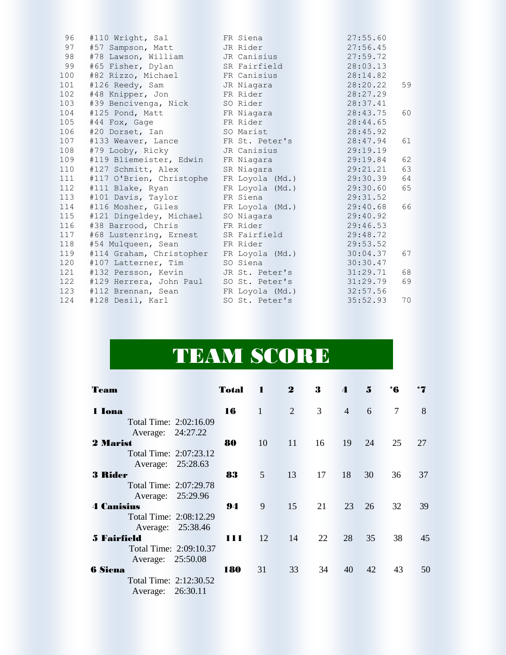| 96  | #110 Wright, Sal                         | FR Siena        | 27:55.60       |
|-----|------------------------------------------|-----------------|----------------|
| 97  | #57 Sampson, Matt                        | JR Rider        | 27:56.45       |
| 98  | #78 Lawson, William                      | JR Canisius     | 27:59.72       |
| 99  | #65 Fisher, Dylan                        | SR Fairfield    | 28:03.13       |
| 100 | #82 Rizzo, Michael                       | FR Canisius     | 28:14.82       |
| 101 | #126 Reedy, Sam JR Niagara               |                 | 28:20.22<br>59 |
| 102 | #48 Knipper, Jon FR Rider                |                 | 28:27.29       |
| 103 | #39 Bencivenga, Nick SO Rider            |                 | 28:37.41       |
| 104 | #125 Pond, Matt FR Niagara               |                 | 28:43.75<br>60 |
| 105 | $#44$ Fox, Gage                          | FR Rider        | 28:44.65       |
| 106 | #20 Dorset, Ian 50 Marist                |                 | 28:45.92       |
| 107 | #133 Weaver, Lance FR St. Peter's        |                 | 28:47.94<br>61 |
| 108 | #79 Looby, Ricky JR Canisius             |                 | 29:19.19       |
| 109 | #119 Bliemeister, Edwin FR Niagara       |                 | 62<br>29:19.84 |
| 110 | #127 Schmitt, Alex                       | SR Niagara      | 63<br>29:21.21 |
| 111 | #117 O'Brien, Christophe FR Loyola (Md.) |                 | 29:30.39<br>64 |
| 112 | #111 Blake, Ryan                         | FR Loyola (Md.) | 29:30.60<br>65 |
| 113 | #101 Davis, Taylor                       | FR Siena        | 29:31.52       |
| 114 | #116 Mosher, Giles FR Loyola (Md.)       |                 | 29:40.68<br>66 |
| 115 | #121 Dingeldey, Michael                  | SO Niagara      | 29:40.92       |
| 116 | #38 Barrood, Chris                       | FR Rider        | 29:46.53       |
| 117 | #68 Lustenring, Ernest SR Fairfield      |                 | 29:48.72       |
| 118 | #54 Mulqueen, Sean<br><u> Barbara Ma</u> | FR Rider        | 29:53.52       |
| 119 | #114 Graham, Christopher FR Loyola (Md.) |                 | 30:04.37<br>67 |
| 120 | #107 Latterner, Tim SO Siena             |                 | 30:30.47       |
| 121 | #132 Persson, Kevin                      | JR St. Peter's  | 68<br>31:29.71 |
| 122 | #129 Herrera, John Paul SO St. Peter's   |                 | 31:29.79<br>69 |
| 123 | #112 Brennan, Sean FR Loyola (Md.)       |                 | 32:57.56       |
| 124 | #128 Desil, Karl National                | SO St. Peter's  | 70<br>35:52.93 |

## TEAM SCORE

| Team                   | <b>Total</b> | п               | $\boldsymbol{2}$ | 3  | 4              | 5  | *6             |    |
|------------------------|--------------|-----------------|------------------|----|----------------|----|----------------|----|
| 1 Iona                 | 16           | 1               | 2                | 3  | $\overline{4}$ | 6  | $\overline{7}$ | 8  |
| Total Time: 2:02:16.09 |              |                 |                  |    |                |    |                |    |
| Average: 24:27.22      |              |                 |                  |    |                |    |                |    |
| 2 Marist               | 80           | 10              | 11               | 16 | 19             | 24 | 25             | 27 |
| Total Time: 2:07:23.12 |              |                 |                  |    |                |    |                |    |
| Average: 25:28.63      |              |                 |                  |    |                |    |                |    |
| <b>3 Rider</b>         | 83           | $5\overline{)}$ | 13               | 17 | 18             | 30 | 36             | 37 |
| Total Time: 2:07:29.78 |              |                 |                  |    |                |    |                |    |
| Average: 25:29.96      |              |                 |                  |    |                |    |                |    |
| <b>4 Canisius</b>      | 94           | 9               | 15               | 21 | 23             | 26 | 32             | 39 |
| Total Time: 2:08:12.29 |              |                 |                  |    |                |    |                |    |
| Average: 25:38.46      |              |                 |                  |    |                |    |                |    |
| <b>5 Fairfield</b>     | 111          | 12              | 14               | 22 | 28             | 35 | 38             | 45 |
| Total Time: 2:09:10.37 |              |                 |                  |    |                |    |                |    |
| Average: 25:50.08      |              |                 |                  |    |                |    |                |    |
| <b>6 Siena</b>         | 180          | 31              | 33               | 34 | 40             | 42 | 43             | 50 |
| Total Time: 2:12:30.52 |              |                 |                  |    |                |    |                |    |
| Average: 26:30.11      |              |                 |                  |    |                |    |                |    |